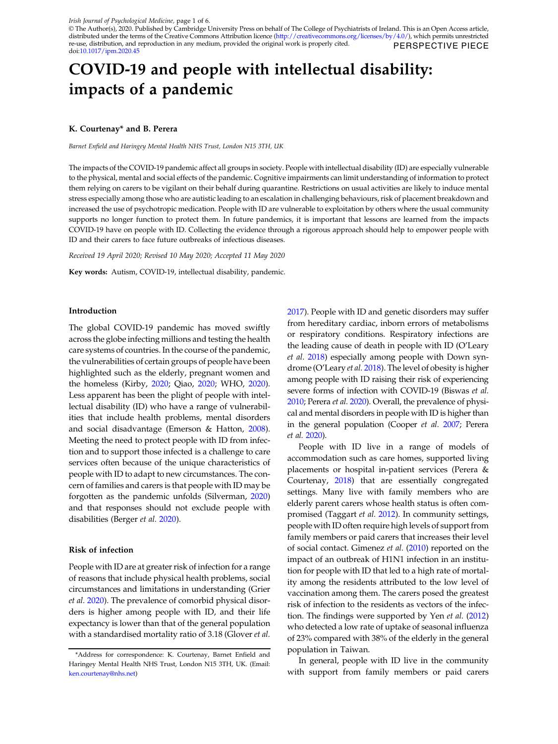© The Author(s), 2020. Published by Cambridge University Press on behalf of The College of Psychiatrists of Ireland. This is an Open Access article, distributed under the terms of the Creative Commons Attribution licence ([http://creativecommons.org/licenses/by/4.0/\)](http://creativecommons.org/licenses/by/4.0/), which permits unrestricted re-use, distribution, and reproduction in any medium, provided the original work is properly cited. PERSPECTIVE PIECE doi[:10.1017/ipm.2020.45](https://doi.org/10.1017/ipm.2020.45)

# COVID-19 and people with intellectual disability: impacts of a pandemic

#### K. Courtenay\* and B. Perera

Barnet Enfield and Haringey Mental Health NHS Trust, London N15 3TH, UK

The impacts of the COVID-19 pandemic affect all groups in society. People with intellectual disability (ID) are especially vulnerable to the physical, mental and social effects of the pandemic. Cognitive impairments can limit understanding of information to protect them relying on carers to be vigilant on their behalf during quarantine. Restrictions on usual activities are likely to induce mental stress especially among those who are autistic leading to an escalation in challenging behaviours, risk of placement breakdown and increased the use of psychotropic medication. People with ID are vulnerable to exploitation by others where the usual community supports no longer function to protect them. In future pandemics, it is important that lessons are learned from the impacts COVID-19 have on people with ID. Collecting the evidence through a rigorous approach should help to empower people with ID and their carers to face future outbreaks of infectious diseases.

Received 19 April 2020; Revised 10 May 2020; Accepted 11 May 2020

Key words: Autism, COVID-19, intellectual disability, pandemic.

# Introduction

The global COVID-19 pandemic has moved swiftly across the globe infecting millions and testing the health care systems of countries. In the course of the pandemic, the vulnerabilities of certain groups of people have been highlighted such as the elderly, pregnant women and the homeless (Kirby, [2020;](#page-5-0) Qiao, [2020](#page-5-0); WHO, [2020](#page-5-0)). Less apparent has been the plight of people with intellectual disability (ID) who have a range of vulnerabilities that include health problems, mental disorders and social disadvantage (Emerson & Hatton, [2008](#page-4-0)). Meeting the need to protect people with ID from infection and to support those infected is a challenge to care services often because of the unique characteristics of people with ID to adapt to new circumstances. The concern of families and carers is that people with ID may be forgotten as the pandemic unfolds (Silverman, [2020\)](#page-5-0) and that responses should not exclude people with disabilities (Berger et al. [2020](#page-4-0)).

#### Risk of infection

People with ID are at greater risk of infection for a range of reasons that include physical health problems, social circumstances and limitations in understanding (Grier et al. [2020](#page-4-0)). The prevalence of comorbid physical disorders is higher among people with ID, and their life expectancy is lower than that of the general population with a standardised mortality ratio of 3.18 (Glover et al.

[2017\)](#page-4-0). People with ID and genetic disorders may suffer from hereditary cardiac, inborn errors of metabolisms or respiratory conditions. Respiratory infections are the leading cause of death in people with ID (O'Leary et al. [2018\)](#page-5-0) especially among people with Down syndrome (O'Leary et al. [2018\)](#page-5-0). The level of obesity is higher among people with ID raising their risk of experiencing severe forms of infection with COVID-19 (Biswas et al. [2010](#page-4-0); Perera et al. [2020](#page-5-0)). Overall, the prevalence of physical and mental disorders in people with ID is higher than in the general population (Cooper et al. [2007;](#page-4-0) Perera et al. [2020\)](#page-5-0).

People with ID live in a range of models of accommodation such as care homes, supported living placements or hospital in-patient services (Perera & Courtenay, [2018](#page-5-0)) that are essentially congregated settings. Many live with family members who are elderly parent carers whose health status is often compromised (Taggart et al. [2012](#page-5-0)). In community settings, people with ID often require high levels of support from family members or paid carers that increases their level of social contact. Gimenez et al. ([2010\)](#page-4-0) reported on the impact of an outbreak of H1N1 infection in an institution for people with ID that led to a high rate of mortality among the residents attributed to the low level of vaccination among them. The carers posed the greatest risk of infection to the residents as vectors of the infec-tion. The findings were supported by Yen et al. ([2012\)](#page-5-0) who detected a low rate of uptake of seasonal influenza of 23% compared with 38% of the elderly in the general population in Taiwan.

In general, people with ID live in the community with support from family members or paid carers

<sup>\*</sup>Address for correspondence: K. Courtenay, Barnet Enfield and Haringey Mental Health NHS Trust, London N15 3TH, UK. (Email: [ken.courtenay@nhs.net\)](mailto:ken.courtenay@nhs.net)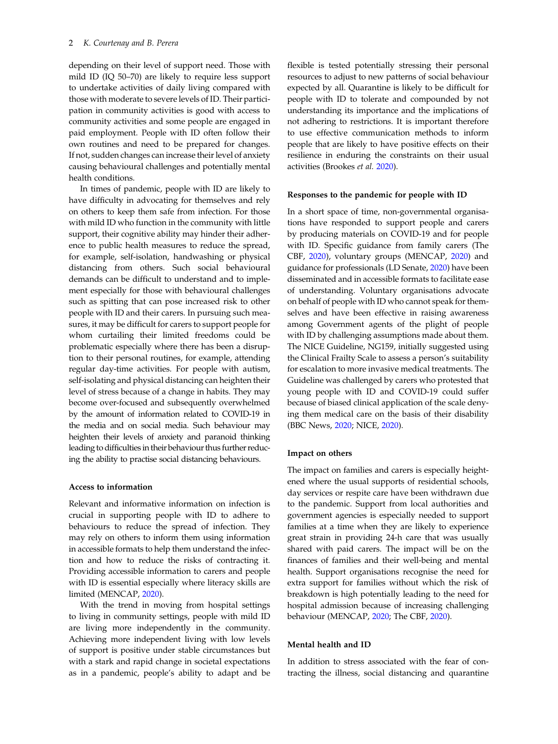depending on their level of support need. Those with mild ID (IQ 50–70) are likely to require less support to undertake activities of daily living compared with those with moderate to severe levels of ID. Their participation in community activities is good with access to community activities and some people are engaged in paid employment. People with ID often follow their own routines and need to be prepared for changes. If not, sudden changes can increase their level of anxiety causing behavioural challenges and potentially mental health conditions.

In times of pandemic, people with ID are likely to have difficulty in advocating for themselves and rely on others to keep them safe from infection. For those with mild ID who function in the community with little support, their cognitive ability may hinder their adherence to public health measures to reduce the spread, for example, self-isolation, handwashing or physical distancing from others. Such social behavioural demands can be difficult to understand and to implement especially for those with behavioural challenges such as spitting that can pose increased risk to other people with ID and their carers. In pursuing such measures, it may be difficult for carers to support people for whom curtailing their limited freedoms could be problematic especially where there has been a disruption to their personal routines, for example, attending regular day-time activities. For people with autism, self-isolating and physical distancing can heighten their level of stress because of a change in habits. They may become over-focused and subsequently overwhelmed by the amount of information related to COVID-19 in the media and on social media. Such behaviour may heighten their levels of anxiety and paranoid thinking leading to difficulties in their behaviour thus further reducing the ability to practise social distancing behaviours.

# Access to information

Relevant and informative information on infection is crucial in supporting people with ID to adhere to behaviours to reduce the spread of infection. They may rely on others to inform them using information in accessible formats to help them understand the infection and how to reduce the risks of contracting it. Providing accessible information to carers and people with ID is essential especially where literacy skills are limited (MENCAP, [2020\)](#page-5-0).

With the trend in moving from hospital settings to living in community settings, people with mild ID are living more independently in the community. Achieving more independent living with low levels of support is positive under stable circumstances but with a stark and rapid change in societal expectations as in a pandemic, people's ability to adapt and be

flexible is tested potentially stressing their personal resources to adjust to new patterns of social behaviour expected by all. Quarantine is likely to be difficult for people with ID to tolerate and compounded by not understanding its importance and the implications of not adhering to restrictions. It is important therefore to use effective communication methods to inform people that are likely to have positive effects on their resilience in enduring the constraints on their usual activities (Brookes et al. [2020\)](#page-4-0).

## Responses to the pandemic for people with ID

In a short space of time, non-governmental organisations have responded to support people and carers by producing materials on COVID-19 and for people with ID. Specific guidance from family carers (The CBF, [2020](#page-5-0)), voluntary groups (MENCAP, [2020\)](#page-5-0) and guidance for professionals (LD Senate, [2020](#page-5-0)) have been disseminated and in accessible formats to facilitate ease of understanding. Voluntary organisations advocate on behalf of people with ID who cannot speak for themselves and have been effective in raising awareness among Government agents of the plight of people with ID by challenging assumptions made about them. The NICE Guideline, NG159, initially suggested using the Clinical Frailty Scale to assess a person's suitability for escalation to more invasive medical treatments. The Guideline was challenged by carers who protested that young people with ID and COVID-19 could suffer because of biased clinical application of the scale denying them medical care on the basis of their disability (BBC News, [2020](#page-4-0); NICE, [2020](#page-5-0)).

## Impact on others

The impact on families and carers is especially heightened where the usual supports of residential schools, day services or respite care have been withdrawn due to the pandemic. Support from local authorities and government agencies is especially needed to support families at a time when they are likely to experience great strain in providing 24-h care that was usually shared with paid carers. The impact will be on the finances of families and their well-being and mental health. Support organisations recognise the need for extra support for families without which the risk of breakdown is high potentially leading to the need for hospital admission because of increasing challenging behaviour (MENCAP, [2020](#page-5-0); The CBF, [2020](#page-5-0)).

# Mental health and ID

In addition to stress associated with the fear of contracting the illness, social distancing and quarantine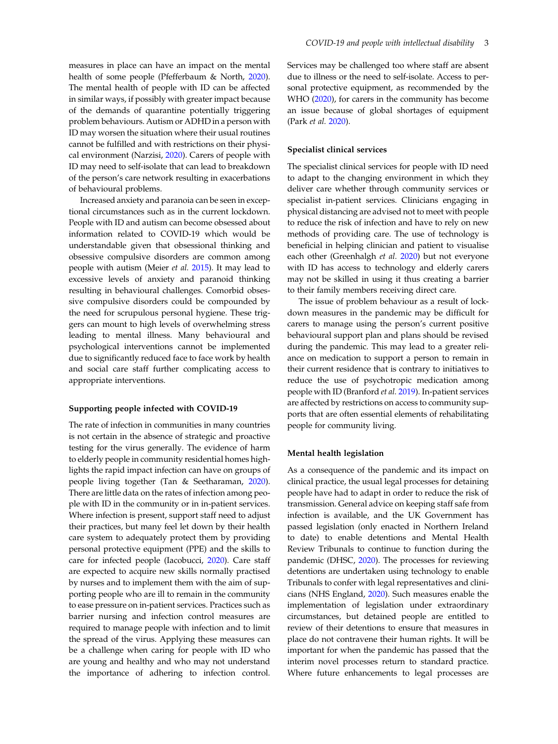measures in place can have an impact on the mental health of some people (Pfefferbaum & North, [2020](#page-5-0)). The mental health of people with ID can be affected in similar ways, if possibly with greater impact because of the demands of quarantine potentially triggering problem behaviours. Autism or ADHD in a person with ID may worsen the situation where their usual routines cannot be fulfilled and with restrictions on their physical environment (Narzisi, [2020\)](#page-5-0). Carers of people with ID may need to self-isolate that can lead to breakdown of the person's care network resulting in exacerbations of behavioural problems.

Increased anxiety and paranoia can be seen in exceptional circumstances such as in the current lockdown. People with ID and autism can become obsessed about information related to COVID-19 which would be understandable given that obsessional thinking and obsessive compulsive disorders are common among people with autism (Meier et al. [2015\)](#page-5-0). It may lead to excessive levels of anxiety and paranoid thinking resulting in behavioural challenges. Comorbid obsessive compulsive disorders could be compounded by the need for scrupulous personal hygiene. These triggers can mount to high levels of overwhelming stress leading to mental illness. Many behavioural and psychological interventions cannot be implemented due to significantly reduced face to face work by health and social care staff further complicating access to appropriate interventions.

#### Supporting people infected with COVID-19

The rate of infection in communities in many countries is not certain in the absence of strategic and proactive testing for the virus generally. The evidence of harm to elderly people in community residential homes highlights the rapid impact infection can have on groups of people living together (Tan & Seetharaman, [2020](#page-5-0)). There are little data on the rates of infection among people with ID in the community or in in-patient services. Where infection is present, support staff need to adjust their practices, but many feel let down by their health care system to adequately protect them by providing personal protective equipment (PPE) and the skills to care for infected people (Iacobucci, [2020\)](#page-5-0). Care staff are expected to acquire new skills normally practised by nurses and to implement them with the aim of supporting people who are ill to remain in the community to ease pressure on in-patient services. Practices such as barrier nursing and infection control measures are required to manage people with infection and to limit the spread of the virus. Applying these measures can be a challenge when caring for people with ID who are young and healthy and who may not understand the importance of adhering to infection control.

Services may be challenged too where staff are absent due to illness or the need to self-isolate. Access to personal protective equipment, as recommended by the WHO ([2020\)](#page-5-0), for carers in the community has become an issue because of global shortages of equipment (Park et al. [2020](#page-5-0)).

# Specialist clinical services

The specialist clinical services for people with ID need to adapt to the changing environment in which they deliver care whether through community services or specialist in-patient services. Clinicians engaging in physical distancing are advised not to meet with people to reduce the risk of infection and have to rely on new methods of providing care. The use of technology is beneficial in helping clinician and patient to visualise each other (Greenhalgh et al. [2020\)](#page-4-0) but not everyone with ID has access to technology and elderly carers may not be skilled in using it thus creating a barrier to their family members receiving direct care.

The issue of problem behaviour as a result of lockdown measures in the pandemic may be difficult for carers to manage using the person's current positive behavioural support plan and plans should be revised during the pandemic. This may lead to a greater reliance on medication to support a person to remain in their current residence that is contrary to initiatives to reduce the use of psychotropic medication among people with ID (Branford et al. [2019](#page-4-0)). In-patient services are affected by restrictions on access to community supports that are often essential elements of rehabilitating people for community living.

#### Mental health legislation

As a consequence of the pandemic and its impact on clinical practice, the usual legal processes for detaining people have had to adapt in order to reduce the risk of transmission. General advice on keeping staff safe from infection is available, and the UK Government has passed legislation (only enacted in Northern Ireland to date) to enable detentions and Mental Health Review Tribunals to continue to function during the pandemic (DHSC, [2020\)](#page-4-0). The processes for reviewing detentions are undertaken using technology to enable Tribunals to confer with legal representatives and clinicians (NHS England, [2020](#page-5-0)). Such measures enable the implementation of legislation under extraordinary circumstances, but detained people are entitled to review of their detentions to ensure that measures in place do not contravene their human rights. It will be important for when the pandemic has passed that the interim novel processes return to standard practice. Where future enhancements to legal processes are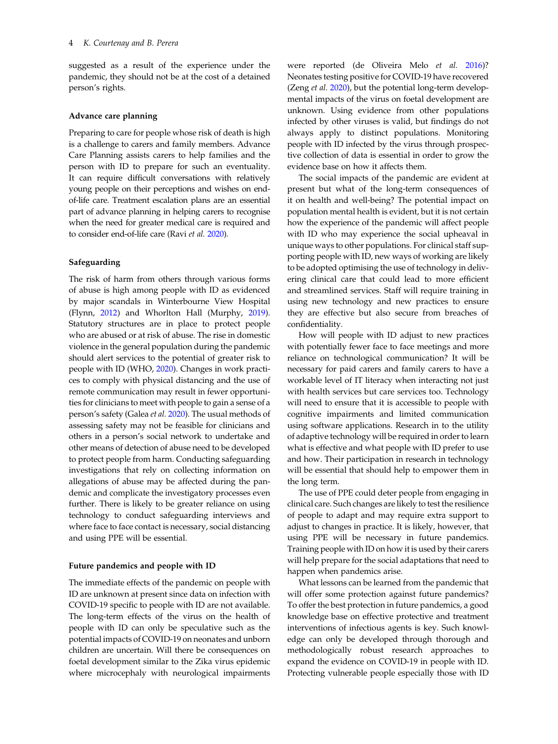suggested as a result of the experience under the pandemic, they should not be at the cost of a detained person's rights.

## Advance care planning

Preparing to care for people whose risk of death is high is a challenge to carers and family members. Advance Care Planning assists carers to help families and the person with ID to prepare for such an eventuality. It can require difficult conversations with relatively young people on their perceptions and wishes on endof-life care. Treatment escalation plans are an essential part of advance planning in helping carers to recognise when the need for greater medical care is required and to consider end-of-life care (Ravi et al. [2020\)](#page-5-0).

# Safeguarding

The risk of harm from others through various forms of abuse is high among people with ID as evidenced by major scandals in Winterbourne View Hospital (Flynn, [2012](#page-4-0)) and Whorlton Hall (Murphy, [2019](#page-5-0)). Statutory structures are in place to protect people who are abused or at risk of abuse. The rise in domestic violence in the general population during the pandemic should alert services to the potential of greater risk to people with ID (WHO, [2020\)](#page-5-0). Changes in work practices to comply with physical distancing and the use of remote communication may result in fewer opportunities for clinicians to meet with people to gain a sense of a person's safety (Galea et al. [2020\)](#page-4-0). The usual methods of assessing safety may not be feasible for clinicians and others in a person's social network to undertake and other means of detection of abuse need to be developed to protect people from harm. Conducting safeguarding investigations that rely on collecting information on allegations of abuse may be affected during the pandemic and complicate the investigatory processes even further. There is likely to be greater reliance on using technology to conduct safeguarding interviews and where face to face contact is necessary, social distancing and using PPE will be essential.

#### Future pandemics and people with ID

The immediate effects of the pandemic on people with ID are unknown at present since data on infection with COVID-19 specific to people with ID are not available. The long-term effects of the virus on the health of people with ID can only be speculative such as the potential impacts of COVID-19 on neonates and unborn children are uncertain. Will there be consequences on foetal development similar to the Zika virus epidemic where microcephaly with neurological impairments were reported (de Oliveira Melo et al. [2016\)](#page-4-0)? Neonates testing positive for COVID-19 have recovered (Zeng et al. [2020](#page-5-0)), but the potential long-term developmental impacts of the virus on foetal development are unknown. Using evidence from other populations infected by other viruses is valid, but findings do not always apply to distinct populations. Monitoring people with ID infected by the virus through prospective collection of data is essential in order to grow the evidence base on how it affects them.

The social impacts of the pandemic are evident at present but what of the long-term consequences of it on health and well-being? The potential impact on population mental health is evident, but it is not certain how the experience of the pandemic will affect people with ID who may experience the social upheaval in unique ways to other populations. For clinical staff supporting people with ID, new ways of working are likely to be adopted optimising the use of technology in delivering clinical care that could lead to more efficient and streamlined services. Staff will require training in using new technology and new practices to ensure they are effective but also secure from breaches of confidentiality.

How will people with ID adjust to new practices with potentially fewer face to face meetings and more reliance on technological communication? It will be necessary for paid carers and family carers to have a workable level of IT literacy when interacting not just with health services but care services too. Technology will need to ensure that it is accessible to people with cognitive impairments and limited communication using software applications. Research in to the utility of adaptive technology will be required in order to learn what is effective and what people with ID prefer to use and how. Their participation in research in technology will be essential that should help to empower them in the long term.

The use of PPE could deter people from engaging in clinical care. Such changes are likely to test the resilience of people to adapt and may require extra support to adjust to changes in practice. It is likely, however, that using PPE will be necessary in future pandemics. Training people with ID on how it is used by their carers will help prepare for the social adaptations that need to happen when pandemics arise.

What lessons can be learned from the pandemic that will offer some protection against future pandemics? To offer the best protection in future pandemics, a good knowledge base on effective protective and treatment interventions of infectious agents is key. Such knowledge can only be developed through thorough and methodologically robust research approaches to expand the evidence on COVID-19 in people with ID. Protecting vulnerable people especially those with ID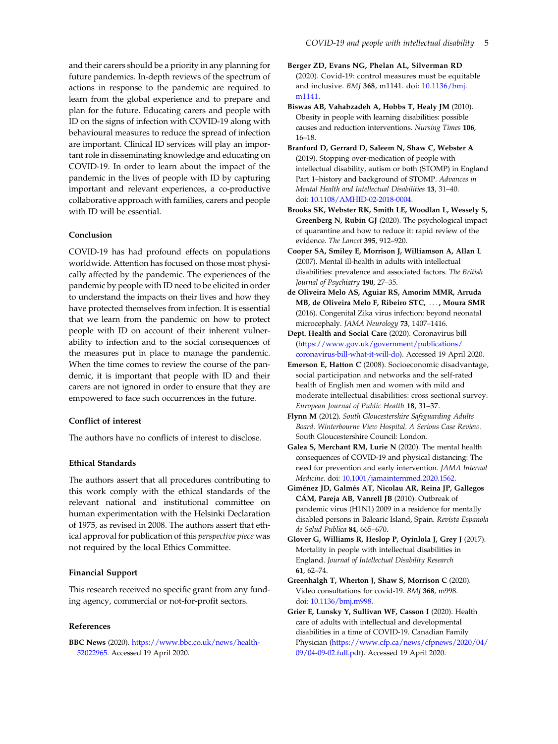<span id="page-4-0"></span>and their carers should be a priority in any planning for future pandemics. In-depth reviews of the spectrum of actions in response to the pandemic are required to learn from the global experience and to prepare and plan for the future. Educating carers and people with ID on the signs of infection with COVID-19 along with behavioural measures to reduce the spread of infection are important. Clinical ID services will play an important role in disseminating knowledge and educating on COVID-19. In order to learn about the impact of the pandemic in the lives of people with ID by capturing important and relevant experiences, a co-productive collaborative approach with families, carers and people with ID will be essential.

#### Conclusion

COVID-19 has had profound effects on populations worldwide. Attention has focused on those most physically affected by the pandemic. The experiences of the pandemic by people with ID need to be elicited in order to understand the impacts on their lives and how they have protected themselves from infection. It is essential that we learn from the pandemic on how to protect people with ID on account of their inherent vulnerability to infection and to the social consequences of the measures put in place to manage the pandemic. When the time comes to review the course of the pandemic, it is important that people with ID and their carers are not ignored in order to ensure that they are empowered to face such occurrences in the future.

# Conflict of interest

The authors have no conflicts of interest to disclose.

# Ethical Standards

The authors assert that all procedures contributing to this work comply with the ethical standards of the relevant national and institutional committee on human experimentation with the Helsinki Declaration of 1975, as revised in 2008. The authors assert that ethical approval for publication of this perspective piece was not required by the local Ethics Committee.

# Financial Support

This research received no specific grant from any funding agency, commercial or not-for-profit sectors.

# References

BBC News (2020). [https://www.bbc.co.uk/news/health-](https://www.bbc.co.uk/news/health-52022965)[52022965](https://www.bbc.co.uk/news/health-52022965). Accessed 19 April 2020.

- Berger ZD, Evans NG, Phelan AL, Silverman RD (2020). Covid-19: control measures must be equitable and inclusive. BMJ 368, m1141. doi: [10.1136/bmj.](https://doi.org/10.1136/bmj.m1141) [m1141.](https://doi.org/10.1136/bmj.m1141)
- Biswas AB, Vahabzadeh A, Hobbs T, Healy JM (2010). Obesity in people with learning disabilities: possible causes and reduction interventions. Nursing Times 106, 16–18.
- Branford D, Gerrard D, Saleem N, Shaw C, Webster A (2019). Stopping over-medication of people with intellectual disability, autism or both (STOMP) in England Part 1–history and background of STOMP. Advances in Mental Health and Intellectual Disabilities 13, 31–40. doi: [10.1108/AMHID-02-2018-0004.](https://doi.org/10.1108/AMHID-02-2018-0004)
- Brooks SK, Webster RK, Smith LE, Woodlan L, Wessely S, Greenberg N, Rubin GJ (2020). The psychological impact of quarantine and how to reduce it: rapid review of the evidence. The Lancet 395, 912–920.
- Cooper SA, Smiley E, Morrison J, Williamson A, Allan L (2007). Mental ill-health in adults with intellectual disabilities: prevalence and associated factors. The British Journal of Psychiatry 190, 27–35.
- de Oliveira Melo AS, Aguiar RS, Amorim MMR, Arruda MB, de Oliveira Melo F, Ribeiro STC, ..., Moura SMR (2016). Congenital Zika virus infection: beyond neonatal microcephaly. JAMA Neurology 73, 1407–1416.
- Dept. Health and Social Care (2020). Coronavirus bill [\(https://www.gov.uk/government/publications/](https://www.gov.uk/government/publications/coronavirus-bill-what-it-will-do) [coronavirus-bill-what-it-will-do\)](https://www.gov.uk/government/publications/coronavirus-bill-what-it-will-do). Accessed 19 April 2020.
- Emerson E, Hatton C (2008). Socioeconomic disadvantage, social participation and networks and the self-rated health of English men and women with mild and moderate intellectual disabilities: cross sectional survey. European Journal of Public Health 18, 31–37.
- Flynn M (2012). South Gloucestershire Safeguarding Adults Board. Winterbourne View Hospital. A Serious Case Review. South Gloucestershire Council: London.
- Galea S, Merchant RM, Lurie N (2020). The mental health consequences of COVID-19 and physical distancing: The need for prevention and early intervention. JAMA Internal Medicine. doi: [10.1001/jamainternmed.2020.1562](https://doi.org/10.1001/jamainternmed.2020.1562).
- Giménez JD, Galmés AT, Nicolau AR, Reina JP, Gallegos CÁM, Pareja AB, Vanrell JB (2010). Outbreak of pandemic virus (H1N1) 2009 in a residence for mentally disabled persons in Balearic Island, Spain. Revista Espanola de Salud Publica 84, 665–670.
- Glover G, Williams R, Heslop P, Oyinlola J, Grey J (2017). Mortality in people with intellectual disabilities in England. Journal of Intellectual Disability Research 61, 62–74.
- Greenhalgh T, Wherton J, Shaw S, Morrison C (2020). Video consultations for covid-19. BMJ 368, m998. doi: [10.1136/bmj.m998](https://doi.org/10.1136/bmj.m998).
- Grier E, Lunsky Y, Sullivan WF, Casson I (2020). Health care of adults with intellectual and developmental disabilities in a time of COVID-19. Canadian Family Physician [\(https://www.cfp.ca/news/cfpnews/2020/04/](https://www.cfp.ca/news/cfpnews/2020/04/09/04-09-02.full.pdf) [09/04-09-02.full.pdf\)](https://www.cfp.ca/news/cfpnews/2020/04/09/04-09-02.full.pdf). Accessed 19 April 2020.